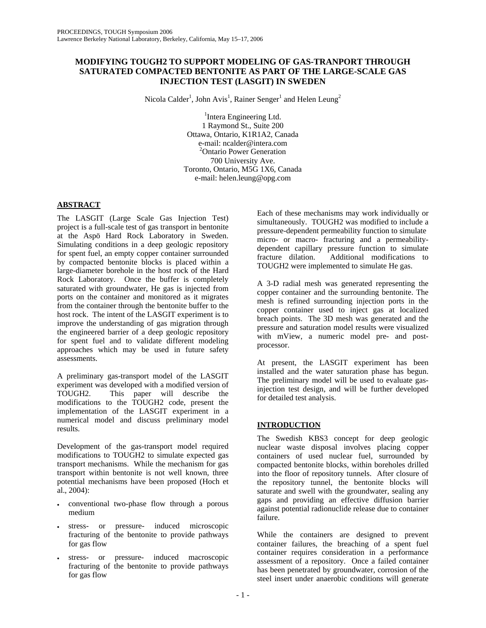## **MODIFYING TOUGH2 TO SUPPORT MODELING OF GAS-TRANPORT THROUGH SATURATED COMPACTED BENTONITE AS PART OF THE LARGE-SCALE GAS INJECTION TEST (LASGIT) IN SWEDEN**

Nicola Calder<sup>1</sup>, John Avis<sup>1</sup>, Rainer Senger<sup>1</sup> and Helen Leung<sup>2</sup>

<sup>1</sup>Intera Engineering Ltd. 1 Raymond St., Suite 200 Ottawa, Ontario, K1R1A2, Canada e-mail: ncalder@intera.com <sup>2</sup> <sup>2</sup>Ontario Power Generation 700 University Ave. Toronto, Ontario, M5G 1X6, Canada e-mail: helen.leung@opg.com

## **ABSTRACT**

The LASGIT (Large Scale Gas Injection Test) project is a full-scale test of gas transport in bentonite at the Aspö Hard Rock Laboratory in Sweden. Simulating conditions in a deep geologic repository for spent fuel, an empty copper container surrounded by compacted bentonite blocks is placed within a large-diameter borehole in the host rock of the Hard Rock Laboratory. Once the buffer is completely saturated with groundwater, He gas is injected from ports on the container and monitored as it migrates from the container through the bentonite buffer to the host rock. The intent of the LASGIT experiment is to improve the understanding of gas migration through the engineered barrier of a deep geologic repository for spent fuel and to validate different modeling approaches which may be used in future safety assessments.

A preliminary gas-transport model of the LASGIT experiment was developed with a modified version of TOUGH2. This paper will describe the modifications to the TOUGH2 code, present the implementation of the LASGIT experiment in a numerical model and discuss preliminary model results.

Development of the gas-transport model required modifications to TOUGH2 to simulate expected gas transport mechanisms. While the mechanism for gas transport within bentonite is not well known, three potential mechanisms have been proposed (Hoch et al., 2004):

- conventional two-phase flow through a porous medium
- stress- or pressure- induced microscopic fracturing of the bentonite to provide pathways for gas flow
- stress- or pressure- induced macroscopic fracturing of the bentonite to provide pathways for gas flow

Each of these mechanisms may work individually or simultaneously. TOUGH2 was modified to include a pressure-dependent permeability function to simulate micro- or macro- fracturing and a permeabilitydependent capillary pressure function to simulate fracture dilation. Additional modifications to TOUGH2 were implemented to simulate He gas.

A 3-D radial mesh was generated representing the copper container and the surrounding bentonite. The mesh is refined surrounding injection ports in the copper container used to inject gas at localized breach points. The 3D mesh was generated and the pressure and saturation model results were visualized with mView, a numeric model pre- and postprocessor.

At present, the LASGIT experiment has been installed and the water saturation phase has begun. The preliminary model will be used to evaluate gasinjection test design, and will be further developed for detailed test analysis.

# **INTRODUCTION**

The Swedish KBS3 concept for deep geologic nuclear waste disposal involves placing copper containers of used nuclear fuel, surrounded by compacted bentonite blocks, within boreholes drilled into the floor of repository tunnels. After closure of the repository tunnel, the bentonite blocks will saturate and swell with the groundwater, sealing any gaps and providing an effective diffusion barrier against potential radionuclide release due to container failure.

While the containers are designed to prevent container failures, the breaching of a spent fuel container requires consideration in a performance assessment of a repository. Once a failed container has been penetrated by groundwater, corrosion of the steel insert under anaerobic conditions will generate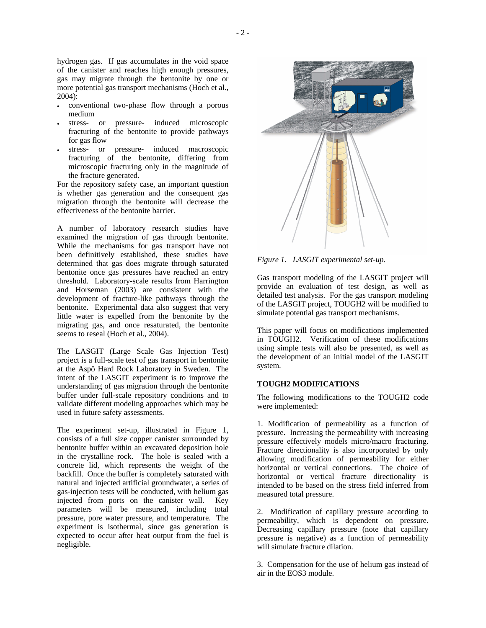hydrogen gas. If gas accumulates in the void space of the canister and reaches high enough pressures, gas may migrate through the bentonite by one or more potential gas transport mechanisms (Hoch et al., 2004):

- conventional two-phase flow through a porous medium
- stress- or pressure- induced microscopic fracturing of the bentonite to provide pathways for gas flow
- stress- or pressure- induced macroscopic fracturing of the bentonite, differing from microscopic fracturing only in the magnitude of the fracture generated.

For the repository safety case, an important question is whether gas generation and the consequent gas migration through the bentonite will decrease the effectiveness of the bentonite barrier.

A number of laboratory research studies have examined the migration of gas through bentonite. While the mechanisms for gas transport have not been definitively established, these studies have determined that gas does migrate through saturated bentonite once gas pressures have reached an entry threshold. Laboratory-scale results from Harrington and Horseman (2003) are consistent with the development of fracture-like pathways through the bentonite. Experimental data also suggest that very little water is expelled from the bentonite by the migrating gas, and once resaturated, the bentonite seems to reseal (Hoch et al., 2004).

The LASGIT (Large Scale Gas Injection Test) project is a full-scale test of gas transport in bentonite at the Aspö Hard Rock Laboratory in Sweden. The intent of the LASGIT experiment is to improve the understanding of gas migration through the bentonite buffer under full-scale repository conditions and to validate different modeling approaches which may be used in future safety assessments.

The experiment set-up, illustrated in Figure 1, consists of a full size copper canister surrounded by bentonite buffer within an excavated deposition hole in the crystalline rock. The hole is sealed with a concrete lid, which represents the weight of the backfill. Once the buffer is completely saturated with natural and injected artificial groundwater, a series of gas-injection tests will be conducted, with helium gas injected from ports on the canister wall. Key parameters will be measured, including total pressure, pore water pressure, and temperature. The experiment is isothermal, since gas generation is expected to occur after heat output from the fuel is negligible.



*Figure 1. LASGIT experimental set-up.* 

Gas transport modeling of the LASGIT project will provide an evaluation of test design, as well as detailed test analysis. For the gas transport modeling of the LASGIT project, TOUGH2 will be modified to simulate potential gas transport mechanisms.

This paper will focus on modifications implemented in TOUGH2. Verification of these modifications using simple tests will also be presented, as well as the development of an initial model of the LASGIT system.

## **TOUGH2 MODIFICATIONS**

The following modifications to the TOUGH2 code were implemented:

1. Modification of permeability as a function of pressure. Increasing the permeability with increasing pressure effectively models micro/macro fracturing. Fracture directionality is also incorporated by only allowing modification of permeability for either horizontal or vertical connections. The choice of horizontal or vertical fracture directionality is intended to be based on the stress field inferred from measured total pressure.

2. Modification of capillary pressure according to permeability, which is dependent on pressure. Decreasing capillary pressure (note that capillary pressure is negative) as a function of permeability will simulate fracture dilation.

3. Compensation for the use of helium gas instead of air in the EOS3 module.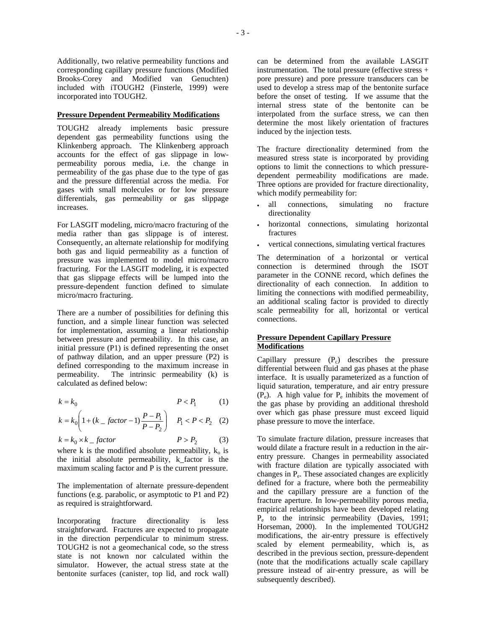Additionally, two relative permeability functions and corresponding capillary pressure functions (Modified Brooks-Corey and Modified van Genuchten) included with iTOUGH2 (Finsterle, 1999) were incorporated into TOUGH2.

#### **Pressure Dependent Permeability Modifications**

TOUGH2 already implements basic pressure dependent gas permeability functions using the Klinkenberg approach. The Klinkenberg approach accounts for the effect of gas slippage in lowpermeability porous media, i.e. the change in permeability of the gas phase due to the type of gas and the pressure differential across the media. For gases with small molecules or for low pressure differentials, gas permeability or gas slippage increases.

For LASGIT modeling, micro/macro fracturing of the media rather than gas slippage is of interest. Consequently, an alternate relationship for modifying both gas and liquid permeability as a function of pressure was implemented to model micro/macro fracturing. For the LASGIT modeling, it is expected that gas slippage effects will be lumped into the pressure-dependent function defined to simulate micro/macro fracturing.

There are a number of possibilities for defining this function, and a simple linear function was selected for implementation, assuming a linear relationship between pressure and permeability. In this case, an initial pressure (P1) is defined representing the onset of pathway dilation, and an upper pressure (P2) is defined corresponding to the maximum increase in permeability. The intrinsic permeability (k) is calculated as defined below:

$$
k = k_0 \tag{1}
$$

$$
k = k_0 \left( 1 + (k_{-} \, factor - 1) \frac{P - P_1}{P - P_2} \right) \quad P_1 < P < P_2 \tag{2}
$$

$$
k = k_0 \times k_{\text{}} factor \qquad P > P_2 \qquad (3)
$$

where k is the modified absolute permeability,  $k_0$  is the initial absolute permeability, k\_factor is the maximum scaling factor and P is the current pressure.

The implementation of alternate pressure-dependent functions (e.g. parabolic, or asymptotic to P1 and P2) as required is straightforward.

Incorporating fracture directionality is less straightforward. Fractures are expected to propagate in the direction perpendicular to minimum stress. TOUGH2 is not a geomechanical code, so the stress state is not known nor calculated within the simulator. However, the actual stress state at the bentonite surfaces (canister, top lid, and rock wall)

can be determined from the available LASGIT instrumentation. The total pressure (effective stress + pore pressure) and pore pressure transducers can be used to develop a stress map of the bentonite surface before the onset of testing. If we assume that the internal stress state of the bentonite can be interpolated from the surface stress, we can then determine the most likely orientation of fractures induced by the injection tests.

The fracture directionality determined from the measured stress state is incorporated by providing options to limit the connections to which pressuredependent permeability modifications are made. Three options are provided for fracture directionality, which modify permeability for:

- all connections, simulating no fracture directionality
- horizontal connections, simulating horizontal fractures
- vertical connections, simulating vertical fractures

The determination of a horizontal or vertical connection is determined through the ISOT parameter in the CONNE record, which defines the directionality of each connection. In addition to limiting the connections with modified permeability, an additional scaling factor is provided to directly scale permeability for all, horizontal or vertical connections.

### **Pressure Dependent Capillary Pressure Modifications**

Capillary pressure  $(P_c)$  describes the pressure differential between fluid and gas phases at the phase interface. It is usually parameterized as a function of liquid saturation, temperature, and air entry pressure  $(P_e)$ . A high value for  $P_e$  inhibits the movement of the gas phase by providing an additional threshold over which gas phase pressure must exceed liquid phase pressure to move the interface.

To simulate fracture dilation, pressure increases that would dilate a fracture result in a reduction in the airentry pressure. Changes in permeability associated with fracture dilation are typically associated with changes in  $P_e$ . These associated changes are explicitly defined for a fracture, where both the permeability and the capillary pressure are a function of the fracture aperture. In low-permeability porous media, empirical relationships have been developed relating  $P_e$  to the intrinsic permeability (Davies, 1991; Horseman, 2000). In the implemented TOUGH2 modifications, the air-entry pressure is effectively scaled by element permeability, which is, as described in the previous section, pressure-dependent (note that the modifications actually scale capillary pressure instead of air-entry pressure, as will be subsequently described).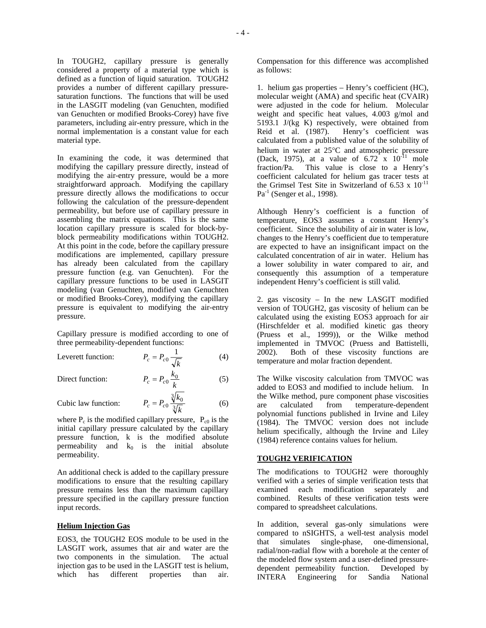In TOUGH2, capillary pressure is generally considered a property of a material type which is defined as a function of liquid saturation. TOUGH2 provides a number of different capillary pressuresaturation functions. The functions that will be used in the LASGIT modeling (van Genuchten, modified van Genuchten or modified Brooks-Corey) have five parameters, including air-entry pressure, which in the normal implementation is a constant value for each material type.

In examining the code, it was determined that modifying the capillary pressure directly, instead of modifying the air-entry pressure, would be a more straightforward approach. Modifying the capillary pressure directly allows the modifications to occur following the calculation of the pressure-dependent permeability, but before use of capillary pressure in assembling the matrix equations. This is the same location capillary pressure is scaled for block-byblock permeability modifications within TOUGH2. At this point in the code, before the capillary pressure modifications are implemented, capillary pressure has already been calculated from the capillary pressure function (e.g. van Genuchten). For the capillary pressure functions to be used in LASGIT modeling (van Genuchten, modified van Genuchten or modified Brooks-Corey), modifying the capillary pressure is equivalent to modifying the air-entry pressure.

Capillary pressure is modified according to one of three permeability-dependent functions:

Leverett function:  $P_c = P_{c0} \frac{1}{\sqrt{k}}$  (4)

Direct function: 
$$
P_c = P_{c0} \frac{k_0}{k}
$$
 (5)

Cubic law function: 
$$
P_c = P_{c0} \frac{\sqrt[3]{k_0}}{\sqrt[3]{k}} \tag{6}
$$

where  $P_c$  is the modified capillary pressure,  $P_{c0}$  is the initial capillary pressure calculated by the capillary pressure function, k is the modified absolute permeability and  $k_0$  is the initial absolute permeability.

An additional check is added to the capillary pressure modifications to ensure that the resulting capillary pressure remains less than the maximum capillary pressure specified in the capillary pressure function input records.

### **Helium Injection Gas**

EOS3, the TOUGH2 EOS module to be used in the LASGIT work, assumes that air and water are the two components in the simulation. The actual injection gas to be used in the LASGIT test is helium, which has different properties than air. Compensation for this difference was accomplished as follows:

1. helium gas properties – Henry's coefficient (HC), molecular weight (AMA) and specific heat (CVAIR) were adjusted in the code for helium. Molecular weight and specific heat values, 4.003 g/mol and 5193.1 J/(kg K) respectively, were obtained from Reid et al. (1987). Henry's coefficient was calculated from a published value of the solubility of helium in water at 25°C and atmospheric pressure (Dack, 1975), at a value of  $6.72 \times 10^{-11}$  mole fraction/Pa. This value is close to a Henry's coefficient calculated for helium gas tracer tests at the Grimsel Test Site in Switzerland of 6.53 x  $10^{-11}$  $Pa^{-1}$  (Senger et al., 1998).

Although Henry's coefficient is a function of temperature, EOS3 assumes a constant Henry's coefficient. Since the solubility of air in water is low, changes to the Henry's coefficient due to temperature are expected to have an insignificant impact on the calculated concentration of air in water. Helium has a lower solubility in water compared to air, and consequently this assumption of a temperature independent Henry's coefficient is still valid.

2. gas viscosity – In the new LASGIT modified version of TOUGH2, gas viscosity of helium can be calculated using the existing EOS3 approach for air (Hirschfelder et al. modified kinetic gas theory (Pruess et al., 1999)), or the Wilke method implemented in TMVOC (Pruess and Battistelli, 2002). Both of these viscosity functions are temperature and molar fraction dependent.

The Wilke viscosity calculation from TMVOC was added to EOS3 and modified to include helium. In the Wilke method, pure component phase viscosities are calculated from temperature-dependent polynomial functions published in Irvine and Liley (1984). The TMVOC version does not include helium specifically, although the Irvine and Liley (1984) reference contains values for helium.

#### **TOUGH2 VERIFICATION**

The modifications to TOUGH2 were thoroughly verified with a series of simple verification tests that examined each modification separately and combined. Results of these verification tests were compared to spreadsheet calculations.

In addition, several gas-only simulations were compared to nSIGHTS, a well-test analysis model that simulates single-phase, one-dimensional, radial/non-radial flow with a borehole at the center of the modeled flow system and a user-defined pressuredependent permeability function. Developed by INTERA Engineering for Sandia National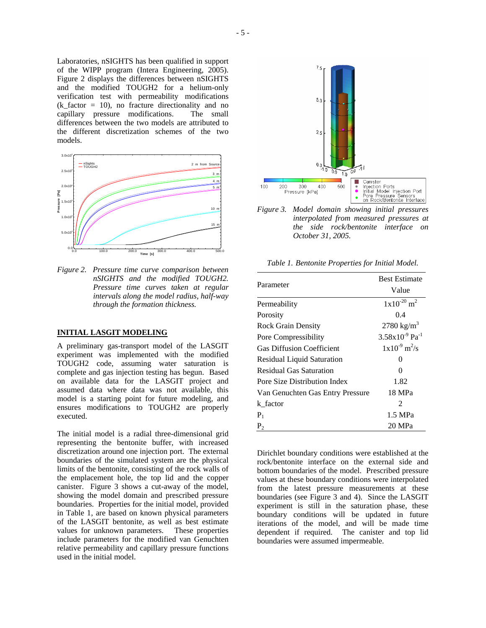Laboratories, nSIGHTS has been qualified in support of the WIPP program (Intera Engineering, 2005). Figure 2 displays the differences between nSIGHTS and the modified TOUGH2 for a helium-only verification test with permeability modifications  $(k_factor = 10)$ , no fracture directionality and no capillary pressure modifications. The small differences between the two models are attributed to the different discretization schemes of the two models.



*Figure 2. Pressure time curve comparison between nSIGHTS and the modified TOUGH2. Pressure time curves taken at regular intervals along the model radius, half-way through the formation thickness.* 

### **INITIAL LASGIT MODELING**

A preliminary gas-transport model of the LASGIT experiment was implemented with the modified TOUGH2 code, assuming water saturation is complete and gas injection testing has begun. Based on available data for the LASGIT project and assumed data where data was not available, this model is a starting point for future modeling, and ensures modifications to TOUGH2 are properly executed.

The initial model is a radial three-dimensional grid representing the bentonite buffer, with increased discretization around one injection port. The external boundaries of the simulated system are the physical limits of the bentonite, consisting of the rock walls of the emplacement hole, the top lid and the copper canister. Figure 3 shows a cut-away of the model, showing the model domain and prescribed pressure boundaries. Properties for the initial model, provided in Table 1, are based on known physical parameters of the LASGIT bentonite, as well as best estimate values for unknown parameters. These properties include parameters for the modified van Genuchten relative permeability and capillary pressure functions used in the initial model.



*Figure 3. Model domain showing initial pressures interpolated from measured pressures at the side rock/bentonite interface on October 31, 2005.* 

*Table 1. Bentonite Properties for Initial Model.* 

| Parameter                         | <b>Best Estimate</b>            |
|-----------------------------------|---------------------------------|
|                                   | Value                           |
| Permeability                      | $1x10^{-20}$ m <sup>2</sup>     |
| Porosity                          | 0.4                             |
| <b>Rock Grain Density</b>         | 2780 kg/m <sup>3</sup>          |
| Pore Compressibility              | $3.58x10^{-9}$ Pa <sup>-1</sup> |
| <b>Gas Diffusion Coefficient</b>  | $1x10^{-9}$ m <sup>2</sup> /s   |
| <b>Residual Liquid Saturation</b> | $\mathbf{\Omega}$               |
| Residual Gas Saturation           | $\Omega$                        |
| Pore Size Distribution Index      | 1.82                            |
| Van Genuchten Gas Entry Pressure  | 18 MPa                          |
| k factor                          | $\mathfrak{D}$                  |
| $P_1$                             | 1.5 MPa                         |
| P <sub>2</sub>                    | 20 MPa                          |
|                                   |                                 |

Dirichlet boundary conditions were established at the rock/bentonite interface on the external side and bottom boundaries of the model. Prescribed pressure values at these boundary conditions were interpolated from the latest pressure measurements at these boundaries (see Figure 3 and 4). Since the LASGIT experiment is still in the saturation phase, these boundary conditions will be updated in future iterations of the model, and will be made time dependent if required. The canister and top lid boundaries were assumed impermeable.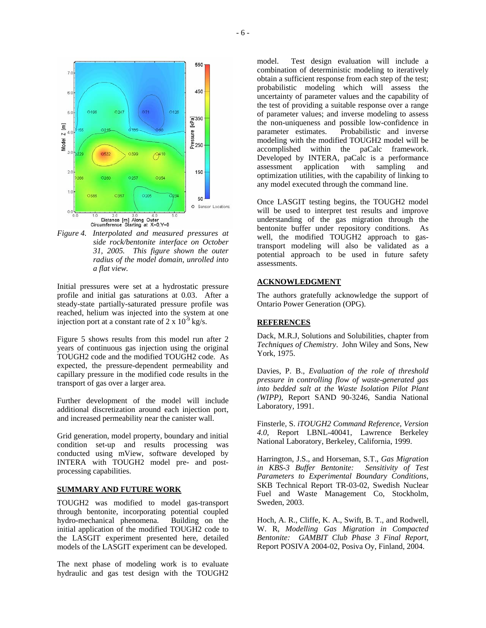



Initial pressures were set at a hydrostatic pressure profile and initial gas saturations at 0.03. After a steady-state partially-saturated pressure profile was reached, helium was injected into the system at one injection port at a constant rate of 2 x  $10^{-9}$  kg/s.

Figure 5 shows results from this model run after 2 years of continuous gas injection using the original TOUGH2 code and the modified TOUGH2 code. As expected, the pressure-dependent permeability and capillary pressure in the modified code results in the transport of gas over a larger area.

Further development of the model will include additional discretization around each injection port, and increased permeability near the canister wall.

Grid generation, model property, boundary and initial condition set-up and results processing was conducted using mView, software developed by INTERA with TOUGH2 model pre- and postprocessing capabilities.

### **SUMMARY AND FUTURE WORK**

TOUGH2 was modified to model gas-transport through bentonite, incorporating potential coupled hydro-mechanical phenomena. Building on the initial application of the modified TOUGH2 code to the LASGIT experiment presented here, detailed models of the LASGIT experiment can be developed.

The next phase of modeling work is to evaluate hydraulic and gas test design with the TOUGH2

model. Test design evaluation will include a combination of deterministic modeling to iteratively obtain a sufficient response from each step of the test; probabilistic modeling which will assess the uncertainty of parameter values and the capability of the test of providing a suitable response over a range of parameter values; and inverse modeling to assess the non-uniqueness and possible low-confidence in parameter estimates. Probabilistic and inverse modeling with the modified TOUGH2 model will be accomplished within the paCalc framework. Developed by INTERA, paCalc is a performance assessment application with sampling and optimization utilities, with the capability of linking to any model executed through the command line.

Once LASGIT testing begins, the TOUGH2 model will be used to interpret test results and improve understanding of the gas migration through the bentonite buffer under repository conditions. As well, the modified TOUGH2 approach to gastransport modeling will also be validated as a potential approach to be used in future safety assessments.

### **ACKNOWLEDGMENT**

The authors gratefully acknowledge the support of Ontario Power Generation (OPG).

#### **REFERENCES**

Dack, M.R.J, Solutions and Solubilities, chapter from *Techniques of Chemistry*. John Wiley and Sons, New York, 1975.

Davies, P. B., *Evaluation of the role of threshold pressure in controlling flow of waste-generated gas into bedded salt at the Waste Isolation Pilot Plant (WIPP)*, Report SAND 90-3246, Sandia National Laboratory, 1991.

Finsterle, S. *iTOUGH2 Command Reference, Version 4.0*, Report LBNL-40041, Lawrence Berkeley National Laboratory, Berkeley, California, 1999.

Harrington, J.S., and Horseman, S.T., *Gas Migration in KBS-3 Buffer Bentonite: Sensitivity of Test Parameters to Experimental Boundary Conditions*, SKB Technical Report TR-03-02, Swedish Nuclear Fuel and Waste Management Co, Stockholm, Sweden, 2003.

Hoch, A. R., Cliffe, K. A., Swift, B. T., and Rodwell, W. R, *Modelling Gas Migration in Compacted Bentonite: GAMBIT Club Phase 3 Final Report*, Report POSIVA 2004-02, Posiva Oy, Finland, 2004.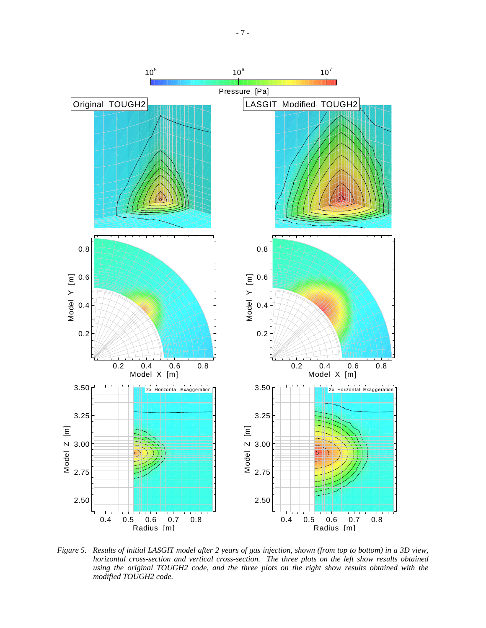

*Figure 5. Results of initial LASGIT model after 2 years of gas injection, shown (from top to bottom) in a 3D view, horizontal cross-section and vertical cross-section. The three plots on the left show results obtained using the original TOUGH2 code, and the three plots on the right show results obtained with the modified TOUGH2 code.*